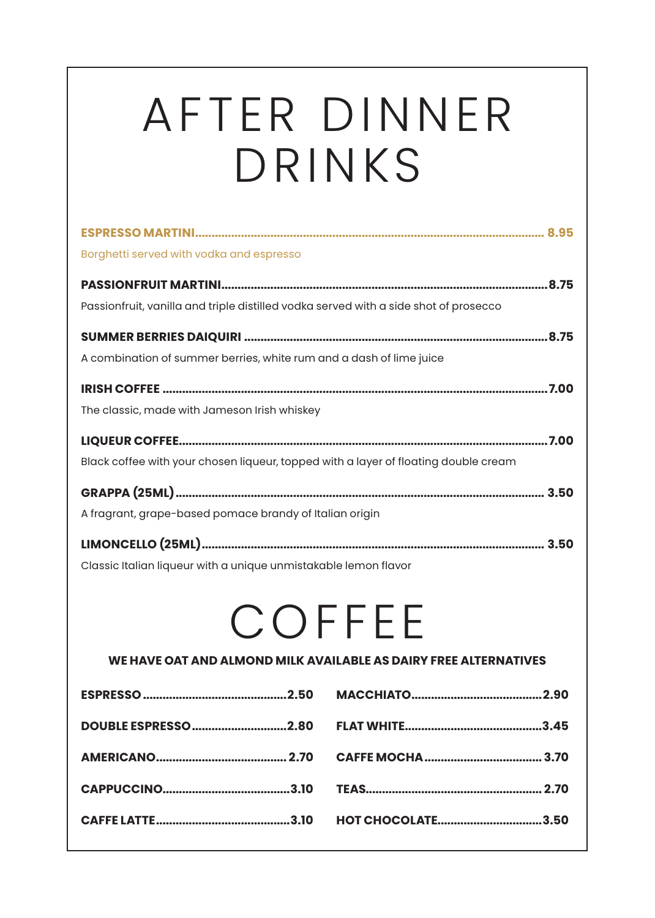## AFTER DINNER DRINKS

| Borghetti served with vodka and espresso                                             |
|--------------------------------------------------------------------------------------|
|                                                                                      |
| Passionfruit, vanilla and triple distilled vodka served with a side shot of prosecco |
|                                                                                      |
| A combination of summer berries, white rum and a dash of lime juice                  |
|                                                                                      |
| The classic, made with Jameson Irish whiskey                                         |
|                                                                                      |
| Black coffee with your chosen liqueur, topped with a layer of floating double cream  |
|                                                                                      |
| A fragrant, grape-based pomace brandy of Italian origin                              |
|                                                                                      |
| Classic Italian liqueur with a unique unmistakable lemon flavor                      |
|                                                                                      |
| COFFEE                                                                               |
| WE HAVE OAT AND ALMOND MILK AVAILABLE AS DAIRY FREE ALTERNATIVES                     |
|                                                                                      |
|                                                                                      |
|                                                                                      |
|                                                                                      |
|                                                                                      |
| <b>HOT CHOCOLATE3.50</b>                                                             |